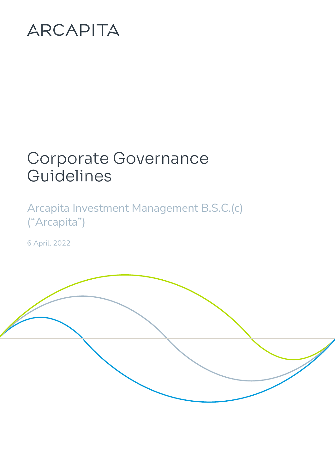# ARCAPITA

# Corporate Governance Guidelines

Arcapita Investment Management B.S.C.(c) ("Arcapita")

6 April, 2022

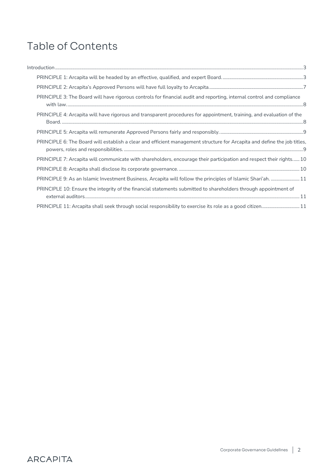# Table of Contents

| PRINCIPLE 3: The Board will have rigorous controls for financial audit and reporting, internal control and compliance    |
|--------------------------------------------------------------------------------------------------------------------------|
| PRINCIPLE 4: Arcapita will have rigorous and transparent procedures for appointment, training, and evaluation of the     |
|                                                                                                                          |
| PRINCIPLE 6: The Board will establish a clear and efficient management structure for Arcapita and define the job titles, |
| PRINCIPLE 7: Arcapita will communicate with shareholders, encourage their participation and respect their rights 10      |
|                                                                                                                          |
| PRINCIPLE 9: As an Islamic Investment Business, Arcapita will follow the principles of Islamic Shari'ah.  11             |
| PRINCIPLE 10: Ensure the integrity of the financial statements submitted to shareholders through appointment of          |
| PRINCIPLE 11: Arcapita shall seek through social responsibility to exercise its role as a good citizen 11                |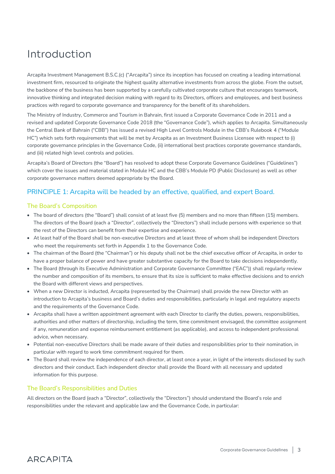# <span id="page-2-0"></span>Introduction

Arcapita Investment Management B.S.C.(c) ("Arcapita") since its inception has focused on creating a leading international investment firm, resourced to originate the highest quality alternative investments from across the globe. From the outset, the backbone of the business has been supported by a carefully cultivated corporate culture that encourages teamwork, innovative thinking and integrated decision making with regard to its Directors, officers and employees, and best business practices with regard to corporate governance and transparency for the benefit of its shareholders.

The Ministry of Industry, Commerce and Tourism in Bahrain, first issued a Corporate Governance Code in 2011 and a revised and updated Corporate Governance Code 2018 (the "Governance Code"), which applies to Arcapita. Simultaneously the Central Bank of Bahrain ("CBB") has issued a revised High Level Controls Module in the CBB's Rulebook 4 ("Module HC") which sets forth requirements that will be met by Arcapita as an Investment Business Licensee with respect to (i) corporate governance principles in the Governance Code, (ii) international best practices corporate governance standards, and (iii) related high level controls and policies.

Arcapita's Board of Directors (the "Board") has resolved to adopt these Corporate Governance Guidelines ("Guidelines") which cover the issues and material stated in Module HC and the CBB's Module PD (Public Disclosure) as well as other corporate governance matters deemed appropriate by the Board.

# <span id="page-2-1"></span>PRINCIPLE 1: Arcapita will be headed by an effective, qualified, and expert Board.

#### The Board's Composition

- The board of directors (the "Board") shall consist of at least five (5) members and no more than fifteen (15) members. The directors of the Board (each a "Director", collectively the "Directors") shall include persons with experience so that the rest of the Directors can benefit from their expertise and experience.
- At least half of the Board shall be non-executive Directors and at least three of whom shall be independent Directors who meet the requirements set forth in Appendix 1 to the Governance Code.
- The chairman of the Board (the "Chairman") or his deputy shall not be the chief executive officer of Arcapita, in order to have a proper balance of power and have greater substantive capacity for the Board to take decisions independently.
- The Board (through its Executive Administration and Corporate Governance Committee ("EAC")) shall regularly review the number and composition of its members, to ensure that its size is sufficient to make effective decisions and to enrich the Board with different views and perspectives.
- When a new Director is inducted, Arcapita (represented by the Chairman) shall provide the new Director with an introduction to Arcapita's business and Board's duties and responsibilities, particularly in legal and regulatory aspects and the requirements of the Governance Code.
- Arcapita shall have a written appointment agreement with each Director to clarify the duties, powers, responsibilities, authorities and other matters of directorship, including the term, time commitment envisaged, the committee assignment if any, remuneration and expense reimbursement entitlement (as applicable), and access to independent professional advice, when necessary.
- Potential non-executive Directors shall be made aware of their duties and responsibilities prior to their nomination, in particular with regard to work time commitment required for them.
- The Board shall review the independence of each director, at least once a year, in light of the interests disclosed by such directors and their conduct. Each independent director shall provide the Board with all necessary and updated information for this purpose.

#### The Board's Responsibilities and Duties

**ARCAPITA** 

All directors on the Board (each a "Director", collectively the "Directors") should understand the Board's role and responsibilities under the relevant and applicable law and the Governance Code, in particular: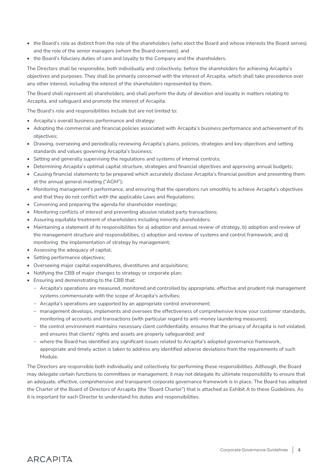- the Board's role as distinct from the role of the shareholders (who elect the Board and whose interests the Board serves) and the role of the senior managers (whom the Board oversees), and
- the Board's fiduciary duties of care and loyalty to the Company and the shareholders.

The Directors shall be responsible, both individually and collectively, before the shareholders for achieving Arcapita's objectives and purposes. They shall be primarily concerned with the interest of Arcapita, which shall take precedence over any other interest, including the interest of the shareholders represented by them.

The Board shall represent all shareholders, and shall perform the duty of devotion and loyalty in matters relating to Arcapita, and safeguard and promote the interest of Arcapita.

The Board's role and responsibilities include but are not limited to:

- Arcapita's overall business performance and strategy;
- Adopting the commercial and financial policies associated with Arcapita's business performance and achievement of its objectives;
- Drawing, overseeing and periodically reviewing Arcapita's plans, policies, strategies and key objectives and setting standards and values governing Arcapita's business;
- Setting and generally supervising the regulations and systems of internal controls;
- Determining Arcapita's optimal capital structure, strategies and financial objectives and approving annual budgets;
- Causing financial statements to be prepared which accurately disclose Arcapita's financial position and presenting them at the annual general meeting ("AGM");
- Monitoring management's performance, and ensuring that the operations run smoothly to achieve Arcapita's objectives and that they do not conflict with the applicable Laws and Regulations;
- Convening and preparing the agenda for shareholder meetings;
- Monitoring conflicts of interest and preventing abusive related party transactions;
- Assuring equitable treatment of shareholders including minority shareholders;
- Maintaining a statement of its responsibilities for a) adoption and annual review of strategy, b) adoption and review of the management structure and responsibilities, c) adoption and review of systems and control framework; and d) monitoring the implementation of strategy by management;
- Assessing the adequacy of capital;
- Setting performance objectives;
- Overseeing major capital expenditures, divestitures and acquisitions;
- Notifying the CBB of major changes to strategy or corporate plan;
- Ensuring and demonstrating to the CBB that:
	- Arcapita's operations are measured, monitored and controlled by appropriate, effective and prudent risk management systems commensurate with the scope of Arcapita's activities;
	- Arcapita's operations are supported by an appropriate control environment;
	- management develops, implements and oversees the effectiveness of comprehensive know your customer standards, monitoring of accounts and transactions (with particular regard to anti-money laundering measures);
	- the control environment maintains necessary client confidentiality, ensures that the privacy of Arcapita is not violated, and ensures that clients' rights and assets are properly safeguarded; and
	- where the Board has identified any significant issues related to Arcapita's adopted governance framework, appropriate and timely action is taken to address any identified adverse deviations from the requirements of such Module.

The Directors are responsible both individually and collectively for performing these responsibilities. Although, the Board may delegate certain functions to committees or management, it may not delegate its ultimate responsibility to ensure that an adequate, effective, comprehensive and transparent corporate governance framework is in place. The Board has adopted the Charter of the Board of Directors of Arcapita (the "Board Charter") that is attached as Exhibit A to these Guidelines. As it is important for each Director to understand his duties and responsibilities.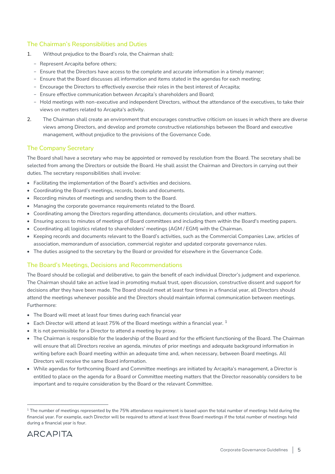#### The Chairman's Responsibilities and Duties

- 1. Without prejudice to the Board's role, the Chairman shall:
	- Represent Arcapita before others;
	- Ensure that the Directors have access to the complete and accurate information in a timely manner;
	- Ensure that the Board discusses all information and items stated in the agendas for each meeting;
	- Encourage the Directors to effectively exercise their roles in the best interest of Arcapita;
	- Ensure effective communication between Arcapita's shareholders and Board;
	- Hold meetings with non-executive and independent Directors, without the attendance of the executives, to take their views on matters related to Arcapita's activity.
- 2. The Chairman shall create an environment that encourages constructive criticism on issues in which there are diverse views among Directors, and develop and promote constructive relationships between the Board and executive management, without prejudice to the provisions of the Governance Code.

#### The Company Secretary

The Board shall have a secretary who may be appointed or removed by resolution from the Board. The secretary shall be selected from among the Directors or outside the Board. He shall assist the Chairman and Directors in carrying out their duties. The secretary responsibilities shall involve:

- Facilitating the implementation of the Board's activities and decisions.
- Coordinating the Board's meetings, records, books and documents.
- Recording minutes of meetings and sending them to the Board.
- Managing the corporate governance requirements related to the Board.
- Coordinating among the Directors regarding attendance, documents circulation, and other matters.
- Ensuring access to minutes of meetings of Board committees and including them within the Board's meeting papers.
- Coordinating all logistics related to shareholders' meetings (AGM / EGM) with the Chairman.
- Keeping records and documents relevant to the Board's activities, such as the Commercial Companies Law, articles of association, memorandum of association, commercial register and updated corporate governance rules.
- The duties assigned to the secretary by the Board or provided for elsewhere in the Governance Code.

### The Board's Meetings, Decisions and Recommendations

The Board should be collegial and deliberative, to gain the benefit of each individual Director's judgment and experience. The Chairman should take an active lead in promoting mutual trust, open discussion, constructive dissent and support for decisions after they have been made. The Board should meet at least four times in a financial year, all Directors should attend the meetings whenever possible and the Directors should maintain informal communication between meetings. Furthermore:

- The Board will meet at least four times during each financial year
- Each Director will attend at least 75% of the Board meetings within a financial year.  $1$
- It is not permissible for a Director to attend a meeting by proxy.
- The Chairman is responsible for the leadership of the Board and for the efficient functioning of the Board. The Chairman will ensure that all Directors receive an agenda, minutes of prior meetings and adequate background information in writing before each Board meeting within an adequate time and, when necessary, between Board meetings. All Directors will receive the same Board information.
- While agendas for forthcoming Board and Committee meetings are initiated by Arcapita's management, a Director is entitled to place on the agenda for a Board or Committee meeting matters that the Director reasonably considers to be important and to require consideration by the Board or the relevant Committee.

 $1$  The number of meetings represented by the 75% attendance requirement is based upon the total number of meetings held during the financial year. For example, each Director will be required to attend at least three Board meetings if the total number of meetings held during a financial year is four.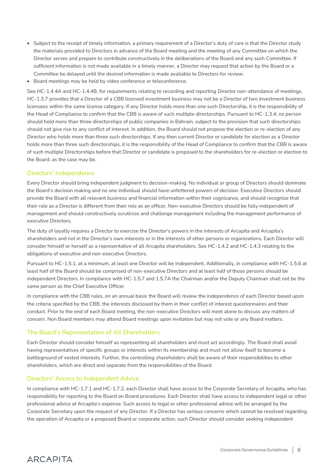- Subject to the receipt of timely information, a primary requirement of a Director's duty of care is that the Director study the materials provided to Directors in advance of the Board meeting and the meeting of any Committee on which the Director serves and prepare to contribute constructively in the deliberations of the Board and any such Committee. If sufficient information is not made available in a timely manner, a Director may request that action by the Board or a Committee be delayed until the desired information is made available to Directors for review.
- Board meetings may be held by video conference or teleconference.

See HC-1.4.4A and HC-1.4.4B, for requirements relating to recording and reporting Director non-attendance of meetings. HC-1.3.7 provides that a Director of a CBB licensed investment business may not be a Director of two investment business licensees within the same license category. If any Director holds more than one such Directorship, it is the responsibility of the Head of Compliance to confirm that the CBB is aware of such multiple directorships. Pursuant to HC-1.3.4, no person should hold more than three directorships of public companies in Bahrain, subject to the provision that such directorships should not give rise to any conflict of interest. In addition, the Board should not propose the election or re-election of any Director who holds more than three such directorships. If any then current Director or candidate for election as a Director holds more than three such directorships, it is the responsibility of the Head of Compliance to confirm that the CBB is aware of such multiple Directorships before that Director or candidate is proposed to the shareholders for re-election or election to the Board, as the case may be.

#### Directors' Independence

Every Director should bring independent judgment to decision-making. No individual or group of Directors should dominate the Board's decision making and no one individual should have unfettered powers of decision. Executive Directors should provide the Board with all relevant business and financial information within their cognizance, and should recognize that their role as a Director is different from their role as an officer. Non-executive Directors should be fully independent of management and should constructively scrutinize and challenge management including the management performance of executive Directors.

The duty of loyalty requires a Director to exercise the Director's powers in the interests of Arcapita and Arcapita's shareholders and not in the Director's own interests or in the interests of other persons or organizations. Each Director will consider himself or herself as a representative of all Arcapita shareholders. See HC-1.4.2 and HC-1.4.3 relating to the obligations of executive and non-executive Directors.

Pursuant to HC-1.5.1, at a minimum, at least one Director will be independent. Additionally, in compliance with HC-1.5.6 at least half of the Board should be comprised of non-executive Directors and at least half of those persons should be independent Directors. In compliance with HC-1.5.7 and 1.5.7A the Chairman and/or the Deputy Chairman shall not be the same person as the Chief Executive Officer.

In compliance with the CBB rules, on an annual basis the Board will review the independence of each Director based upon the criteria specified by the CBB, the interests disclosed by them in their conflict of interest questionnaires and their conduct. Prior to the end of each Board meeting, the non-executive Directors will meet alone to discuss any matters of concern. Non Board members may attend Board meetings upon invitation but may not vote or any Board matters.

#### The Board's Representation of All Shareholders

Each Director should consider himself as representing all shareholders and must act accordingly. The Board shall avoid having representatives of specific groups or interests within its membership and must not allow itself to become a battleground of vested interests. Further, the controlling shareholders shall be aware of their responsibilities to other shareholders, which are direct and separate from the responsibilities of the Board.

#### Directors' Access to Independent Advice

In compliance with HC-1.7.1 and HC-1.7.2, each Director shall have access to the Corporate Secretary of Arcapita, who has responsibility for reporting to the Board on Board procedures. Each Director shall have access to independent legal or other professional advice at Arcapita's expense. Such access to legal or other professional advice will be arranged by the Corporate Secretary upon the request of any Director. If a Director has serious concerns which cannot be resolved regarding the operation of Arcapita or a proposed Board or corporate action, such Director should consider seeking independent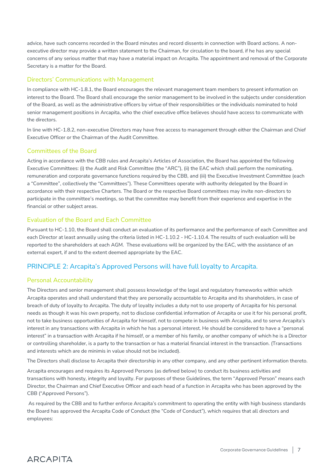advice, have such concerns recorded in the Board minutes and record dissents in connection with Board actions. A nonexecutive director may provide a written statement to the Chairman, for circulation to the board, if he has any special concerns of any serious matter that may have a material impact on Arcapita. The appointment and removal of the Corporate Secretary is a matter for the Board.

#### Directors' Communications with Management

In compliance with HC-1.8.1, the Board encourages the relevant management team members to present information on interest to the Board. The Board shall encourage the senior management to be involved in the subjects under consideration of the Board, as well as the administrative officers by virtue of their responsibilities or the individuals nominated to hold senior management positions in Arcapita, who the chief executive office believes should have access to communicate with the directors.

In line with HC-1.8.2, non-executive Directors may have free access to management through either the Chairman and Chief Executive Officer or the Chairman of the Audit Committee.

#### Committees of the Board

Acting in accordance with the CBB rules and Arcapita's Articles of Association, the Board has appointed the following Executive Committees: (i) the Audit and Risk Committee (the "ARC"), (ii) the EAC which shall perform the nominating, remuneration and corporate governance functions required by the CBB, and (iii) the Executive Investment Committee (each a "Committee", collectively the "Committees"). These Committees operate with authority delegated by the Board in accordance with their respective Charters. The Board or the respective Board committees may invite non-directors to participate in the committee's meetings, so that the committee may benefit from their experience and expertise in the financial or other subject areas.

#### Evaluation of the Board and Each Committee

Pursuant to HC-1.10, the Board shall conduct an evaluation of its performance and the performance of each Committee and each Director at least annually using the criteria listed in HC-1.10.2 - HC-1.10.4. The results of such evaluation will be reported to the shareholders at each AGM. These evaluations will be organized by the EAC, with the assistance of an external expert, if and to the extent deemed appropriate by the EAC.

# <span id="page-6-0"></span>PRINCIPLE 2: Arcapita's Approved Persons will have full loyalty to Arcapita.

### Personal Accountability

**ARCAPITA** 

The Directors and senior management shall possess knowledge of the legal and regulatory frameworks within which Arcapita operates and shall understand that they are personally accountable to Arcapita and its shareholders, in case of breach of duty of loyalty to Arcapita. The duty of loyalty includes a duty not to use property of Arcapita for his personal needs as though it was his own property, not to disclose confidential information of Arcapita or use it for his personal profit, not to take business opportunities of Arcapita for himself, not to compete in business with Arcapita, and to serve Arcapita's interest in any transactions with Arcapita in which he has a personal interest. He should be considered to have a "personal interest" in a transaction with Arcapita if he himself, or a member of his family, or another company of which he is a Director or controlling shareholder, is a party to the transaction or has a material financial interest in the transaction. (Transactions and interests which are de minimis in value should not be included).

The Directors shall disclose to Arcapita their directorship in any other company, and any other pertinent information thereto.

Arcapita encourages and requires its Approved Persons (as defined below) to conduct its business activities and transactions with honesty, integrity and loyalty. For purposes of these Guidelines, the term "Approved Person" means each Director, the Chairman and Chief Executive Officer and each head of a function in Arcapita who has been approved by the CBB ("Approved Persons").

As required by the CBB and to further enforce Arcapita's commitment to operating the entity with high business standards the Board has approved the Arcapita Code of Conduct (the "Code of Conduct"), which requires that all directors and employees: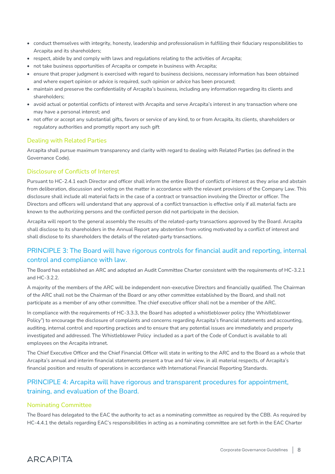- conduct themselves with integrity, honesty, leadership and professionalism in fulfilling their fiduciary responsibilities to Arcapita and its shareholders;
- respect, abide by and comply with laws and regulations relating to the activities of Arcapita;
- not take business opportunities of Arcapita or compete in business with Arcapita;
- ensure that proper judgment is exercised with regard to business decisions, necessary information has been obtained and where expert opinion or advice is required, such opinion or advice has been procured;
- maintain and preserve the confidentiality of Arcapita's business, including any information regarding its clients and shareholders;
- avoid actual or potential conflicts of interest with Arcapita and serve Arcapita's interest in any transaction where one may have a personal interest; and
- not offer or accept any substantial gifts, favors or service of any kind, to or from Arcapita, its clients, shareholders or regulatory authorities and promptly report any such gift

#### Dealing with Related Parties

Arcapita shall pursue maximum transparency and clarity with regard to dealing with Related Parties (as defined in the Governance Code).

#### Disclosure of Conflicts of Interest

Pursuant to HC-2.4.1 each Director and officer shall inform the entire Board of conflicts of interest as they arise and abstain from deliberation, discussion and voting on the matter in accordance with the relevant provisions of the Company Law. This disclosure shall include all material facts in the case of a contract or transaction involving the Director or officer. The Directors and officers will understand that any approval of a conflict transaction is effective only if all material facts are known to the authorizing persons and the conflicted person did not participate in the decision.

Arcapita will report to the general assembly the results of the related-party transactions approved by the Board. Arcapita shall disclose to its shareholders in the Annual Report any abstention from voting motivated by a conflict of interest and shall disclose to its shareholders the details of the related-party transactions.

# <span id="page-7-0"></span>PRINCIPLE 3: The Board will have rigorous controls for financial audit and reporting, internal control and compliance with law.

The Board has established an ARC and adopted an Audit Committee Charter consistent with the requirements of HC-3.2.1 and HC-3.2.2.

A majority of the members of the ARC will be independent non-executive Directors and financially qualified. The Chairman of the ARC shall not be the Chairman of the Board or any other committee established by the Board, and shall not participate as a member of any other committee. The chief executive officer shall not be a member of the ARC.

In compliance with the requirements of HC-3.3.3, the Board has adopted a whistleblower policy (the Whistleblower Policy") to encourage the disclosure of complaints and concerns regarding Arcapita's financial statements and accounting, auditing, internal control and reporting practices and to ensure that any potential issues are immediately and properly investigated and addressed. The Whistleblower Policy included as a part of the Code of Conduct is available to all employees on the Arcapita intranet.

The Chief Executive Officer and the Chief Financial Officer will state in writing to the ARC and to the Board as a whole that Arcapita's annual and interim financial statements present a true and fair view, in all material respects, of Arcapita's financial position and results of operations in accordance with International Financial Reporting Standards.

# <span id="page-7-1"></span>PRINCIPLE 4: Arcapita will have rigorous and transparent procedures for appointment, training, and evaluation of the Board.

#### Nominating Committee

**ARCAPITA** 

The Board has delegated to the EAC the authority to act as a nominating committee as required by the CBB. As required by HC-4.4.1 the details regarding EAC's responsibilities in acting as a nominating committee are set forth in the EAC Charter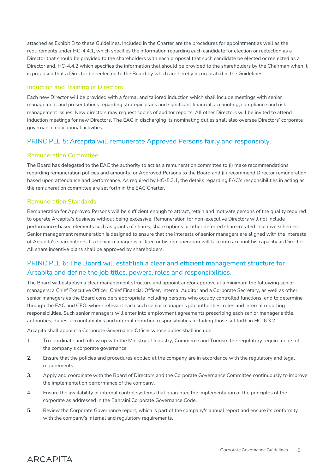attached as Exhibit B to these Guidelines. Included in the Charter are the procedures for appointment as well as the requirements under HC-4.4.1, which specifies the information regarding each candidate for election or reelection as a Director that should be provided to the shareholders with each proposal that such candidate be elected or reelected as a Director and, HC-4.4.2 which specifies the information that should be provided to the shareholders by the Chairman when it is proposed that a Director be reelected to the Board by which are hereby incorporated in the Guidelines.

#### Induction and Training of Directors

Each new Director will be provided with a formal and tailored induction which shall include meetings with senior management and presentations regarding strategic plans and significant financial, accounting, compliance and risk management issues. New directors may request copies of auditor reports. All other Directors will be invited to attend induction meetings for new Directors. The EAC in discharging its nominating duties shall also oversee Directors' corporate governance educational activities.

### <span id="page-8-0"></span>PRINCIPLE 5: Arcapita will remunerate Approved Persons fairly and responsibly.

#### Remuneration Committee

The Board has delegated to the EAC the authority to act as a remuneration committee to (i) make recommendations regarding remuneration policies and amounts for Approved Persons to the Board and (ii) recommend Director remuneration based upon attendance and performance. As required by HC-5.3.1, the details regarding EAC's responsibilities in acting as the remuneration committee are set forth in the EAC Charter.

#### Remuneration Standards

Remuneration for Approved Persons will be sufficient enough to attract, retain and motivate persons of the quality required to operate Arcapita's business without being excessive. Remuneration for non-executive Directors will not include performance-based elements such as grants of shares, share options or other deferred share-related incentive schemes. Senior management remuneration is designed to ensure that the interests of senior managers are aligned with the interests of Arcapita's shareholders. If a senior manager is a Director his remuneration will take into account his capacity as Director. All share incentive plans shall be approved by shareholders.

# <span id="page-8-1"></span>PRINCIPLE 6: The Board will establish a clear and efficient management structure for Arcapita and define the job titles, powers, roles and responsibilities.

The Board will establish a clear management structure and appoint and/or approve at a minimum the following senior managers: a Chief Executive Officer, Chief Financial Officer, Internal Auditor and a Corporate Secretary, as well as other senior managers as the Board considers appropriate including persons who occupy controlled functions, and to determine through the EAC and CEO, where relevant each such senior manager's job authorities, roles and internal reporting responsibilities. Such senior managers will enter into employment agreements prescribing each senior manager's title, authorities, duties, accountabilities and internal reporting responsibilities including those set forth in HC-6.3.2.

Arcapita shall appoint a Corporate Governance Officer whose duties shall include:

- 1. To coordinate and follow up with the Ministry of Industry, Commerce and Tourism the regulatory requirements of the company's corporate governance.
- 2. Ensure that the policies and procedures applied at the company are in accordance with the regulatory and legal requirements.
- 3. Apply and coordinate with the Board of Directors and the Corporate Governance Committee continuously to improve the implementation performance of the company.
- 4. Ensure the availability of internal control systems that guarantee the implementation of the principles of the corporate as addressed in the Bahraini Corporate Governance Code.
- 5. Review the Corporate Governance report, which is part of the company's annual report and ensure its conformity with the company's internal and regulatory requirements.

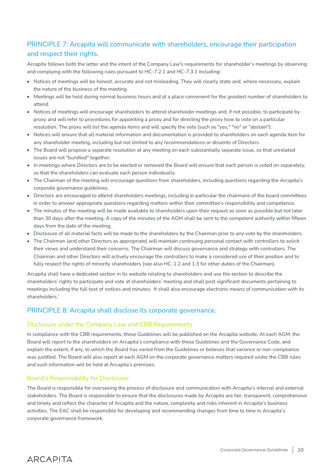# <span id="page-9-0"></span>PRINCIPLE 7: Arcapita will communicate with shareholders, encourage their participation and respect their rights.

Arcapita follows both the letter and the intent of the Company Law's requirements for shareholder's meetings by observing and complying with the following rules pursuant to HC-7.2.1 and HC-7.3.1 including:

- Notices of meetings will be honest, accurate and not misleading. They will clearly state and, where necessary, explain the nature of the business of the meeting.
- Meetings will be held during normal business hours and at a place convenient for the greatest number of shareholders to attend.
- Notices of meetings will encourage shareholders to attend shareholder meetings and, if not possible, to participate by proxy and will refer to procedures for appointing a proxy and for directing the proxy how to vote on a particular resolution. The proxy will list the agenda items and will specify the vote (such as "yes," "no" or "abstain").
- Notices will ensure that all material information and documentation is provided to shareholders on each agenda item for any shareholder meeting, including but not limited to any recommendations or dissents of Directors.
- The Board will propose a separate resolution at any meeting on each substantially separate issue, so that unrelated issues are not "bundled" together.
- In meetings where Directors are to be elected or removed the Board will ensure that each person is voted on separately, so that the shareholders can evaluate each person individually.
- The Chairman of the meeting will encourage questions from shareholders, including questions regarding the Arcapita's corporate governance guidelines.
- Directors are encouraged to attend shareholders meetings, including in particular the chairmans of the board committees in order to answer appropriate questions regarding matters within their committee's responsibility and competence.
- The minutes of the meeting will be made available to shareholders upon their request as soon as possible but not later than 30 days after the meeting. A copy of the minutes of the AGM shall be sent to the competent authority within fifteen days from the date of the meeting.
- Disclosure of all material facts will be made to the shareholders by the Chairman prior to any vote by the shareholders.
- The Chairman (and other Directors as appropriate) will maintain continuing personal contact with controllers to solicit their views and understand their concerns. The Chairman will discuss governance and strategy with controllers. The Chairman and other Directors will actively encourage the controllers to make a considered use of their position and to fully respect the rights of minority shareholders (see also HC-1.2 and 1.3 for other duties of the Chairman).

Arcapita shall have a dedicated section in its website relating to shareholders and use the section to describe the shareholders' rights to participate and vote at shareholders' meeting and shall post significant documents pertaining to meetings including the full text of notices and minutes. It shall also encourage electronic means of communication with its shareholders.'

# <span id="page-9-1"></span>PRINCIPLE 8: Arcapita shall disclose its corporate governance.

#### Disclosure under the Company Law and CBB Requirements

In compliance with the CBB requirements, these Guidelines will be published on the Arcapita website. At each AGM, the Board will report to the shareholders on Arcapita's compliance with these Guidelines and the Governance Code, and explain the extent, if any, to which the Board has varied from the Guidelines or believes that variance or non-compliance was justified. The Board will also report at each AGM on the corporate governance matters required under the CBB rules and such information will be held at Arcapita's premises.

#### Board's Responsibility for Disclosure

**ARCAPITA** 

The Board is responsible for overseeing the process of disclosure and communication with Arcapita's internal and external stakeholders. The Board is responsible to ensure that the disclosures made by Arcapita are fair, transparent, comprehensive and timely and reflect the character of Arcapita and the nature, complexity and risks inherent in Arcapita's business activities. The EAC shall be responsible for developing and recommending changes from time to time in Arcapita's corporate governance framework.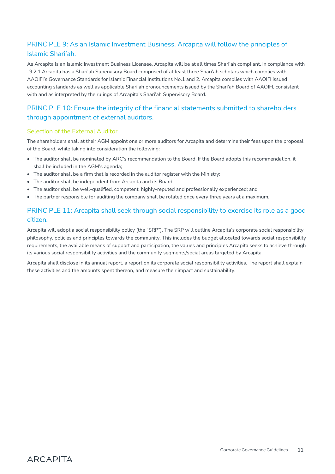# <span id="page-10-0"></span>PRINCIPLE 9: As an Islamic Investment Business, Arcapita will follow the principles of Islamic Shari'ah.

As Arcapita is an Islamic Investment Business Licensee, Arcapita will be at all times Shari'ah compliant. In compliance with -9.2.1 Arcapita has a Shari'ah Supervisory Board comprised of at least three Shari'ah scholars which complies with AAOIFI's Governance Standards for Islamic Financial Institutions No.1 and 2. Arcapita complies with AAOIFI issued accounting standards as well as applicable Shari'ah pronouncements issued by the Shari'ah Board of AAOIFI, consistent with and as interpreted by the rulings of Arcapita's Shari'ah Supervisory Board.

# <span id="page-10-1"></span>PRINCIPLE 10: Ensure the integrity of the financial statements submitted to shareholders through appointment of external auditors.

#### Selection of the External Auditor

The shareholders shall at their AGM appoint one or more auditors for Arcapita and determine their fees upon the proposal of the Board, while taking into consideration the following:

- The auditor shall be nominated by ARC's recommendation to the Board. If the Board adopts this recommendation, it shall be included in the AGM's agenda;
- The auditor shall be a firm that is recorded in the auditor register with the Ministry;
- The auditor shall be independent from Arcapita and its Board;
- The auditor shall be well-qualified, competent, highly-reputed and professionally experienced; and
- The partner responsible for auditing the company shall be rotated once every three years at a maximum.

# <span id="page-10-2"></span>PRINCIPLE 11: Arcapita shall seek through social responsibility to exercise its role as a good citizen.

Arcapita will adopt a social responsibility policy (the "SRP"). The SRP will outline Arcapita's corporate social responsibility philosophy, policies and principles towards the community. This includes the budget allocated towards social responsibility requirements, the available means of support and participation, the values and principles Arcapita seeks to achieve through its various social responsibility activities and the community segments/social areas targeted by Arcapita.

Arcapita shall disclose in its annual report, a report on its corporate social responsibility activities. The report shall explain these activities and the amounts spent thereon, and measure their impact and sustainability.